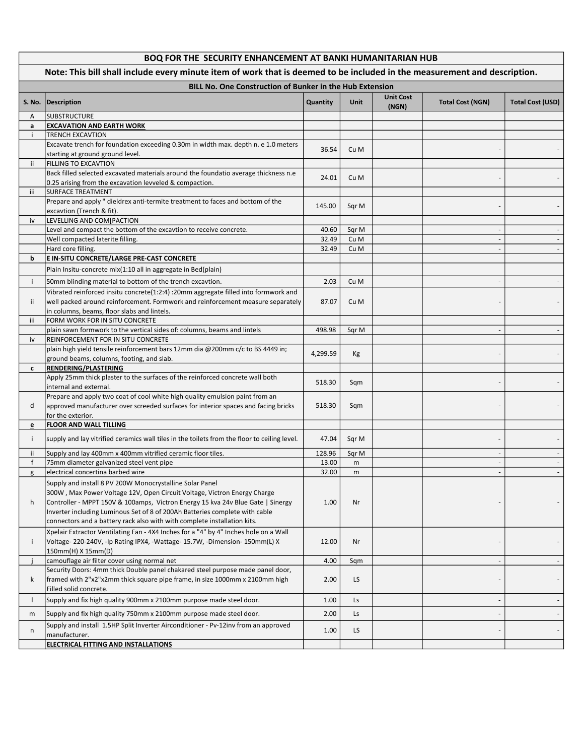|              | BOQ FOR THE SECURITY ENHANCEMENT AT BANKI HUMANITARIAN HUB                                                                |          |       |                           |                         |                         |  |
|--------------|---------------------------------------------------------------------------------------------------------------------------|----------|-------|---------------------------|-------------------------|-------------------------|--|
|              | Note: This bill shall include every minute item of work that is deemed to be included in the measurement and description. |          |       |                           |                         |                         |  |
|              | <b>BILL No. One Construction of Bunker in the Hub Extension</b>                                                           |          |       |                           |                         |                         |  |
|              | S. No.   Description                                                                                                      | Quantity | Unit  | <b>Unit Cost</b><br>(NGN) | <b>Total Cost (NGN)</b> | <b>Total Cost (USD)</b> |  |
| A            | <b>SUBSTRUCTURE</b>                                                                                                       |          |       |                           |                         |                         |  |
| a            | <b>EXCAVATION AND EARTH WORK</b>                                                                                          |          |       |                           |                         |                         |  |
| j.           | <b>TRENCH EXCAVTION</b>                                                                                                   |          |       |                           |                         |                         |  |
|              | Excavate trench for foundation exceeding 0.30m in width max. depth n. e 1.0 meters                                        | 36.54    | Cu M  |                           |                         |                         |  |
| ii.          | starting at ground ground level.<br><b>FILLING TO EXCAVTION</b>                                                           |          |       |                           |                         |                         |  |
|              | Back filled selected excavated materials around the foundatio average thickness n.e                                       |          |       |                           |                         |                         |  |
|              | 0.25 arising from the excavation levveled & compaction.                                                                   | 24.01    | Cu M  |                           |                         |                         |  |
| iii          | <b>SURFACE TREATMENT</b>                                                                                                  |          |       |                           |                         |                         |  |
|              | Prepare and apply " dieldrex anti-termite treatment to faces and bottom of the                                            |          |       |                           |                         |                         |  |
|              | excavtion (Trench & fit).                                                                                                 | 145.00   | Sqr M |                           |                         |                         |  |
| iv           | LEVELLING AND COM[PACTION                                                                                                 |          |       |                           |                         |                         |  |
|              | Level and compact the bottom of the excavtion to receive concrete.                                                        | 40.60    | Sqr M |                           |                         |                         |  |
|              | Well compacted laterite filling.                                                                                          | 32.49    | Cu M  |                           |                         |                         |  |
|              | Hard core filling.                                                                                                        | 32.49    | Cu M  |                           |                         |                         |  |
| b            | E IN-SITU CONCRETE/LARGE PRE-CAST CONCRETE                                                                                |          |       |                           |                         |                         |  |
|              | Plain Insitu-concrete mix(1:10 all in aggregate in Bed(plain)                                                             |          |       |                           |                         |                         |  |
| i.           | 50mm blinding material to bottom of the trench excavtion.                                                                 | 2.03     | Cu M  |                           |                         |                         |  |
|              | Vibrated reinforced insitu concrete(1:2:4) :20mm aggregate filled into formwork and                                       |          |       |                           |                         |                         |  |
| ii.          | well packed around reinforcement. Formwork and reinforcement measure separately                                           | 87.07    | Cu M  |                           |                         |                         |  |
|              | in columns, beams, floor slabs and lintels.                                                                               |          |       |                           |                         |                         |  |
| iii          | FORM WORK FOR IN SITU CONCRETE                                                                                            |          |       |                           |                         |                         |  |
| iv           | plain sawn formwork to the vertical sides of: columns, beams and lintels<br>REINFORCEMENT FOR IN SITU CONCRETE            | 498.98   | Sqr M |                           |                         |                         |  |
|              | plain high yield tensile reinforcement bars 12mm dia @200mm c/c to BS 4449 in;                                            |          |       |                           |                         |                         |  |
|              | ground beams, columns, footing, and slab.                                                                                 | 4,299.59 | Kg    |                           |                         |                         |  |
| c            | <b>RENDERING/PLASTERING</b>                                                                                               |          |       |                           |                         |                         |  |
|              | Apply 25mm thick plaster to the surfaces of the reinforced concrete wall both                                             |          |       |                           |                         |                         |  |
|              | internal and external.                                                                                                    | 518.30   | Sqm   |                           |                         |                         |  |
|              | Prepare and apply two coat of cool white high quality emulsion paint from an                                              |          |       |                           |                         |                         |  |
| d            | approved manufacturer over screeded surfaces for interior spaces and facing bricks                                        | 518.30   | Sqm   |                           |                         |                         |  |
|              | for the exterior.                                                                                                         |          |       |                           |                         |                         |  |
| e            | <u>FLOOR AND WALL TILLING</u>                                                                                             |          |       |                           |                         |                         |  |
| j.           | supply and lay vitrified ceramics wall tiles in the toilets from the floor to ceiling level.                              | 47.04    | Sqr M |                           |                         |                         |  |
| ii.          | Supply and lay 400mm x 400mm vitrified ceramic floor tiles.                                                               | 128.96   | Sqr M |                           |                         |                         |  |
| f            | 75mm diameter galvanized steel vent pipe                                                                                  | 13.00    | m     |                           |                         |                         |  |
| g            | electrical concertina barbed wire                                                                                         | 32.00    | m     |                           |                         |                         |  |
|              | Supply and install 8 PV 200W Monocrystalline Solar Panel                                                                  |          |       |                           |                         |                         |  |
|              | 300W, Max Power Voltage 12V, Open Circuit Voltage, Victron Energy Charge                                                  |          |       |                           |                         |                         |  |
| h            | Controller - MPPT 150V & 100amps, Victron Energy 15 kva 24v Blue Gate   Sinergy                                           | 1.00     | Nr    |                           |                         |                         |  |
|              | Inverter including Luminous Set of 8 of 200Ah Batteries complete with cable                                               |          |       |                           |                         |                         |  |
|              | connectors and a battery rack also with with complete installation kits.                                                  |          |       |                           |                         |                         |  |
|              | Xpelair Extractor Ventilating Fan - 4X4 Inches for a "4" by 4" Inches hole on a Wall                                      |          |       |                           |                         |                         |  |
| j.           | Voltage-220-240V, -Ip Rating IPX4, -Wattage-15.7W, -Dimension-150mm(L) X                                                  | 12.00    | Nr    |                           |                         |                         |  |
|              | 150mm(H) X 15mm(D)<br>camouflage air filter cover using normal net                                                        |          |       |                           |                         |                         |  |
|              | Security Doors: 4mm thick Double panel chakared steel purpose made panel door,                                            | 4.00     | Sqm   |                           |                         |                         |  |
| k            | framed with 2"x2"x2mm thick square pipe frame, in size 1000mm x 2100mm high                                               | 2.00     | LS    |                           |                         |                         |  |
|              | Filled solid concrete.                                                                                                    |          |       |                           |                         |                         |  |
| $\mathbf{I}$ | Supply and fix high quality 900mm x 2100mm purpose made steel door.                                                       | 1.00     | Ls    |                           |                         |                         |  |
| m            | Supply and fix high quality 750mm x 2100mm purpose made steel door.                                                       | 2.00     | Ls    |                           |                         |                         |  |
|              | Supply and install 1.5HP Split Inverter Airconditioner - Pv-12inv from an approved                                        |          |       |                           |                         |                         |  |
| n            | manufacturer.                                                                                                             | 1.00     | LS    |                           |                         |                         |  |
|              | ELECTRICAL FITTING AND INSTALLATIONS                                                                                      |          |       |                           |                         |                         |  |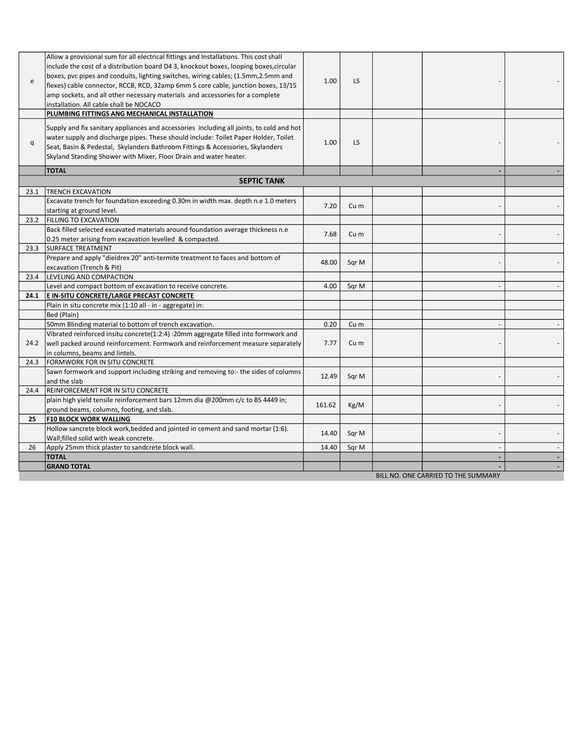| e    | Allow a provisional sum for all electrical fittings and Installations. This cost shall<br>include the cost of a distribution board D4 3, knockout boxes, looping boxes, circular<br>boxes, pvc pipes and conduits, lighting switches, wiring cables; (1.5mm, 2.5mm and<br>flexes) cable connector, RCCB, RCD, 32amp 6mm 5 core cable, junction boxes, 13/15<br>amp sockets, and all other necessary materials and accessories for a complete<br>installation. All cable shall be NOCACO<br>PLUMBING FITTINGS ANG MECHANICAL INSTALLATION | 1.00   | LS.             |                                     |  |
|------|------------------------------------------------------------------------------------------------------------------------------------------------------------------------------------------------------------------------------------------------------------------------------------------------------------------------------------------------------------------------------------------------------------------------------------------------------------------------------------------------------------------------------------------|--------|-----------------|-------------------------------------|--|
| q    | Supply and fix sanitary appliances and accessories including all joints, to cold and hot<br>water supply and discharge pipes. These should include: Toilet Paper Holder, Toilet<br>Seat, Basin & Pedestal, Skylanders Bathroom Fittings & Accessories, Skylanders<br>Skyland Standing Shower with Mixer, Floor Drain and water heater.                                                                                                                                                                                                   | 1.00   | LS              |                                     |  |
|      | <b>TOTAL</b>                                                                                                                                                                                                                                                                                                                                                                                                                                                                                                                             |        |                 |                                     |  |
|      | <b>SEPTIC TANK</b>                                                                                                                                                                                                                                                                                                                                                                                                                                                                                                                       |        |                 |                                     |  |
| 23.1 | <b>TRENCH EXCAVATION</b>                                                                                                                                                                                                                                                                                                                                                                                                                                                                                                                 |        |                 |                                     |  |
|      | Excavate trench for foundation exceeding 0.30m in width max. depth n.e 1.0 meters<br>starting at ground level.                                                                                                                                                                                                                                                                                                                                                                                                                           | 7.20   | Cu <sub>m</sub> |                                     |  |
| 23.2 | <b>FILLING TO EXCAVATION</b>                                                                                                                                                                                                                                                                                                                                                                                                                                                                                                             |        |                 |                                     |  |
|      | Back filled selected excavated materials around foundation average thickness n.e.                                                                                                                                                                                                                                                                                                                                                                                                                                                        | 7.68   | Cu m            |                                     |  |
|      | 0.25 meter arising from excavation levelled & compacted.                                                                                                                                                                                                                                                                                                                                                                                                                                                                                 |        |                 |                                     |  |
| 23.3 | <b>SURFACE TREATMENT</b>                                                                                                                                                                                                                                                                                                                                                                                                                                                                                                                 |        |                 |                                     |  |
|      | Prepare and apply "dieldrex 20" anti-termite treatment to faces and bottom of<br>excavation (Trench & Pit)                                                                                                                                                                                                                                                                                                                                                                                                                               | 48.00  | Sqr M           |                                     |  |
| 23.4 | LEVELING AND COMPACTION                                                                                                                                                                                                                                                                                                                                                                                                                                                                                                                  |        |                 |                                     |  |
|      | Level and compact bottom of excavation to receive concrete.                                                                                                                                                                                                                                                                                                                                                                                                                                                                              | 4.00   | Sqr M           |                                     |  |
| 24.1 | E IN-SITU CONCRETE/LARGE PRECAST CONCRETE                                                                                                                                                                                                                                                                                                                                                                                                                                                                                                |        |                 |                                     |  |
|      | Plain in situ concrete mix (1:10 all - in - aggregate) in:                                                                                                                                                                                                                                                                                                                                                                                                                                                                               |        |                 |                                     |  |
|      | Bed (Plain)                                                                                                                                                                                                                                                                                                                                                                                                                                                                                                                              |        |                 |                                     |  |
|      | 50mm Blinding material to bottom of trench excavation.                                                                                                                                                                                                                                                                                                                                                                                                                                                                                   | 0.20   | Cu m            |                                     |  |
|      | Vibrated reinforced insitu concrete(1:2:4) :20mm aggregate filled into formwork and                                                                                                                                                                                                                                                                                                                                                                                                                                                      |        |                 |                                     |  |
| 24.2 | well packed around reinforcement. Formwork and reinforcement measure separately                                                                                                                                                                                                                                                                                                                                                                                                                                                          | 7.77   | Cu m            |                                     |  |
|      | in columns, beams and lintels.                                                                                                                                                                                                                                                                                                                                                                                                                                                                                                           |        |                 |                                     |  |
| 24.3 | <b>FORMWORK FOR IN SITU CONCRETE</b>                                                                                                                                                                                                                                                                                                                                                                                                                                                                                                     |        |                 |                                     |  |
|      | Sawn formwork and support including striking and removing to:- the sides of columns                                                                                                                                                                                                                                                                                                                                                                                                                                                      | 12.49  | Sqr M           |                                     |  |
|      | and the slab                                                                                                                                                                                                                                                                                                                                                                                                                                                                                                                             |        |                 |                                     |  |
| 24.4 | REINFORCEMENT FOR IN SITU CONCRETE                                                                                                                                                                                                                                                                                                                                                                                                                                                                                                       |        |                 |                                     |  |
|      | plain high yield tensile reinforcement bars 12mm dia @200mm c/c to BS 4449 in;<br>ground beams, columns, footing, and slab.                                                                                                                                                                                                                                                                                                                                                                                                              | 161.62 | Kg/M            |                                     |  |
| 25   | <b>F10 BLOCK WORK WALLING</b>                                                                                                                                                                                                                                                                                                                                                                                                                                                                                                            |        |                 |                                     |  |
|      | Hollow sancrete block work, bedded and jointed in cement and sand mortar (1:6).                                                                                                                                                                                                                                                                                                                                                                                                                                                          |        |                 |                                     |  |
|      | Wall; filled solid with weak concrete.                                                                                                                                                                                                                                                                                                                                                                                                                                                                                                   | 14.40  | Sqr M           |                                     |  |
| 26   | Apply 25mm thick plaster to sandcrete block wall.                                                                                                                                                                                                                                                                                                                                                                                                                                                                                        | 14.40  | Sqr M           |                                     |  |
|      | <b>TOTAL</b>                                                                                                                                                                                                                                                                                                                                                                                                                                                                                                                             |        |                 |                                     |  |
|      | <b>GRAND TOTAL</b>                                                                                                                                                                                                                                                                                                                                                                                                                                                                                                                       |        |                 |                                     |  |
|      |                                                                                                                                                                                                                                                                                                                                                                                                                                                                                                                                          |        |                 | BILL NO. ONE CARRIED TO THE SUMMARY |  |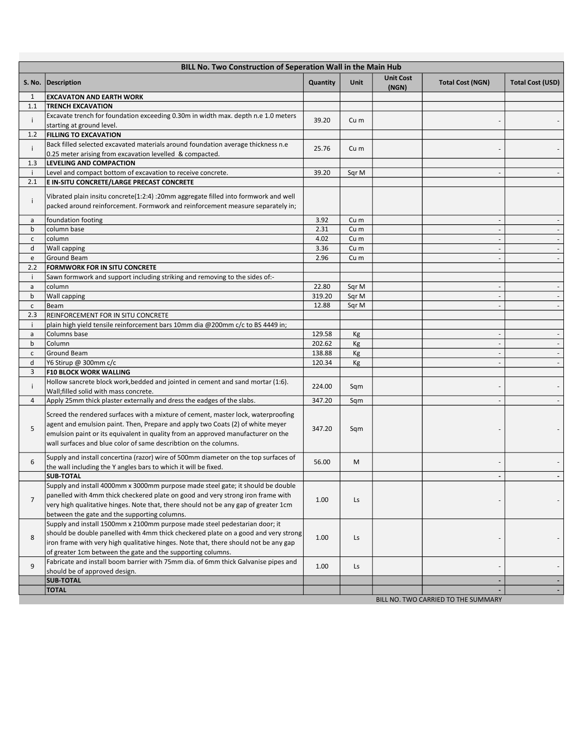|                | BILL No. Two Construction of Seperation Wall in the Main Hub                                                                                                                                                                                                                                                                |          |                 |                           |                                     |                          |
|----------------|-----------------------------------------------------------------------------------------------------------------------------------------------------------------------------------------------------------------------------------------------------------------------------------------------------------------------------|----------|-----------------|---------------------------|-------------------------------------|--------------------------|
|                | S. No.   Description                                                                                                                                                                                                                                                                                                        | Quantity | <b>Unit</b>     | <b>Unit Cost</b><br>(NGN) | <b>Total Cost (NGN)</b>             | <b>Total Cost (USD)</b>  |
| 1              | <b>EXCAVATON AND EARTH WORK</b>                                                                                                                                                                                                                                                                                             |          |                 |                           |                                     |                          |
| 1.1            | <b>TRENCH EXCAVATION</b>                                                                                                                                                                                                                                                                                                    |          |                 |                           |                                     |                          |
| i              | Excavate trench for foundation exceeding 0.30m in width max. depth n.e 1.0 meters<br>starting at ground level.                                                                                                                                                                                                              | 39.20    | Cu <sub>m</sub> |                           |                                     |                          |
| 1.2            | <b>FILLING TO EXCAVATION</b>                                                                                                                                                                                                                                                                                                |          |                 |                           |                                     |                          |
| Ť              | Back filled selected excavated materials around foundation average thickness n.e<br>0.25 meter arising from excavation levelled & compacted.                                                                                                                                                                                | 25.76    | Cu m            |                           |                                     |                          |
| 1.3            | LEVELING AND COMPACTION                                                                                                                                                                                                                                                                                                     |          |                 |                           |                                     |                          |
| j.             | Level and compact bottom of excavation to receive concrete.                                                                                                                                                                                                                                                                 | 39.20    | Sqr M           |                           |                                     |                          |
| 2.1            | E IN-SITU CONCRETE/LARGE PRECAST CONCRETE                                                                                                                                                                                                                                                                                   |          |                 |                           |                                     |                          |
| i              | Vibrated plain insitu concrete(1:2:4) :20mm aggregate filled into formwork and well<br>packed around reinforcement. Formwork and reinforcement measure separately in;                                                                                                                                                       |          |                 |                           |                                     |                          |
| a              | foundation footing                                                                                                                                                                                                                                                                                                          | 3.92     | Cu m            |                           |                                     |                          |
| b              | column base                                                                                                                                                                                                                                                                                                                 | 2.31     | Cu m            |                           | $\sim$                              | $\overline{\phantom{a}}$ |
| $\mathsf{c}$   | column                                                                                                                                                                                                                                                                                                                      | 4.02     | Cu m            |                           |                                     |                          |
| d              | <b>Wall capping</b>                                                                                                                                                                                                                                                                                                         | 3.36     | Cu m            |                           |                                     |                          |
| e              | <b>Ground Beam</b>                                                                                                                                                                                                                                                                                                          | 2.96     | Cu m            |                           |                                     | $\overline{\phantom{a}}$ |
| 2.2            | FORMWORK FOR IN SITU CONCRETE                                                                                                                                                                                                                                                                                               |          |                 |                           |                                     |                          |
| j.             | Sawn formwork and support including striking and removing to the sides of:-                                                                                                                                                                                                                                                 |          |                 |                           |                                     |                          |
| a              | column                                                                                                                                                                                                                                                                                                                      | 22.80    | Sqr M           |                           | $\sim$                              | $\overline{\phantom{a}}$ |
| $\mathsf b$    | <b>Wall capping</b>                                                                                                                                                                                                                                                                                                         | 319.20   | Sqr M           |                           |                                     |                          |
| $\mathsf{C}$   | Beam                                                                                                                                                                                                                                                                                                                        | 12.88    | Sqr M           |                           |                                     |                          |
| 2.3            | REINFORCEMENT FOR IN SITU CONCRETE                                                                                                                                                                                                                                                                                          |          |                 |                           |                                     |                          |
| j.             | plain high yield tensile reinforcement bars 10mm dia @200mm c/c to BS 4449 in;                                                                                                                                                                                                                                              |          |                 |                           |                                     |                          |
| a              | Columns base                                                                                                                                                                                                                                                                                                                | 129.58   | Кg              |                           |                                     |                          |
| b              | Column                                                                                                                                                                                                                                                                                                                      | 202.62   | Kg              |                           | $\sim$                              | $\overline{\phantom{a}}$ |
| $\mathsf{C}$   | Ground Beam                                                                                                                                                                                                                                                                                                                 | 138.88   | Kg              |                           |                                     |                          |
| d              | Y6 Stirup @ 300mm c/c                                                                                                                                                                                                                                                                                                       | 120.34   | Кg              |                           |                                     |                          |
| 3              | <b>F10 BLOCK WORK WALLING</b>                                                                                                                                                                                                                                                                                               |          |                 |                           |                                     |                          |
| Ť              | Hollow sancrete block work, bedded and jointed in cement and sand mortar (1:6).<br>Wall; filled solid with mass concrete.                                                                                                                                                                                                   | 224.00   | Sqm             |                           |                                     |                          |
| 4              | Apply 25mm thick plaster externally and dress the eadges of the slabs.                                                                                                                                                                                                                                                      | 347.20   | Sqm             |                           |                                     |                          |
| 5              | Screed the rendered surfaces with a mixture of cement, master lock, waterproofing<br>agent and emulsion paint. Then, Prepare and apply two Coats (2) of white meyer<br>emulsion paint or its equivalent in quality from an approved manufacturer on the<br>wall surfaces and blue color of same describtion on the columns. | 347.20   | Sqm             |                           |                                     |                          |
| 6              | Supply and install concertina (razor) wire of 500mm diameter on the top surfaces of<br>the wall including the Y angles bars to which it will be fixed.                                                                                                                                                                      | 56.00    | M               |                           |                                     |                          |
|                | <b>SUB-TOTAL</b>                                                                                                                                                                                                                                                                                                            |          |                 |                           |                                     |                          |
| $\overline{7}$ | Supply and install 4000mm x 3000mm purpose made steel gate; it should be double<br>panelled with 4mm thick checkered plate on good and very strong iron frame with<br>very high qualitative hinges. Note that, there should not be any gap of greater 1cm<br>between the gate and the supporting columns.                   | 1.00     | Ls              |                           |                                     |                          |
| 8              | Supply and install 1500mm x 2100mm purpose made steel pedestarian door; it<br>should be double panelled with 4mm thick checkered plate on a good and very strong<br>iron frame with very high qualitative hinges. Note that, there should not be any gap<br>of greater 1cm between the gate and the supporting columns.     | 1.00     | Ls              |                           |                                     |                          |
| 9              | Fabricate and install boom barrier with 75mm dia. of 6mm thick Galvanise pipes and<br>should be of approved design.                                                                                                                                                                                                         | 1.00     | Ls              |                           |                                     |                          |
|                | <b>SUB-TOTAL</b>                                                                                                                                                                                                                                                                                                            |          |                 |                           |                                     |                          |
|                | <b>TOTAL</b>                                                                                                                                                                                                                                                                                                                |          |                 |                           |                                     | ٠                        |
|                |                                                                                                                                                                                                                                                                                                                             |          |                 |                           | BILL NO. TWO CARRIED TO THE SUMMARY |                          |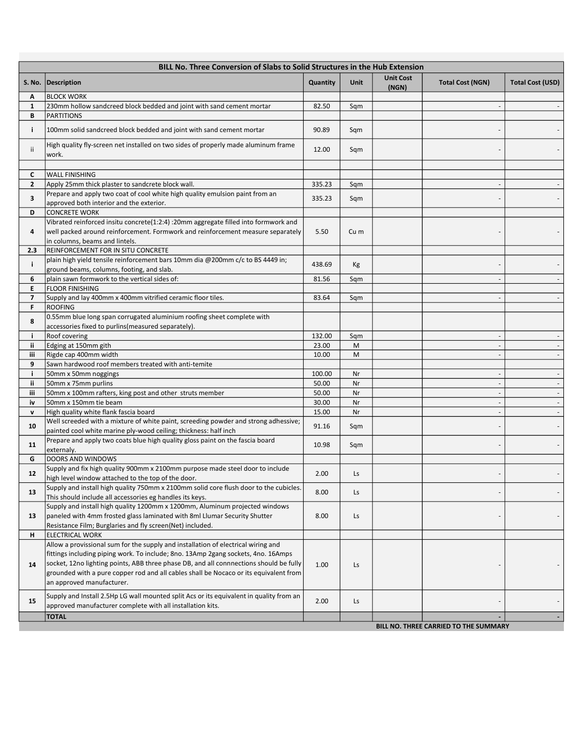|                          | BILL No. Three Conversion of Slabs to Solid Structures in the Hub Extension                                                                                                                                                                                                                                                                                                            |          |      |                           |                                       |                          |  |
|--------------------------|----------------------------------------------------------------------------------------------------------------------------------------------------------------------------------------------------------------------------------------------------------------------------------------------------------------------------------------------------------------------------------------|----------|------|---------------------------|---------------------------------------|--------------------------|--|
|                          | S. No.   Description                                                                                                                                                                                                                                                                                                                                                                   | Quantity | Unit | <b>Unit Cost</b><br>(NGN) | <b>Total Cost (NGN)</b>               | Total Cost (USD)         |  |
| Α                        | <b>BLOCK WORK</b>                                                                                                                                                                                                                                                                                                                                                                      |          |      |                           |                                       |                          |  |
| $\mathbf{1}$             | 230mm hollow sandcreed block bedded and joint with sand cement mortar                                                                                                                                                                                                                                                                                                                  | 82.50    | Sqm  |                           |                                       |                          |  |
| В                        | <b>PARTITIONS</b>                                                                                                                                                                                                                                                                                                                                                                      |          |      |                           |                                       |                          |  |
| j.                       | 100mm solid sandcreed block bedded and joint with sand cement mortar                                                                                                                                                                                                                                                                                                                   | 90.89    | Sqm  |                           |                                       |                          |  |
| ii.                      | High quality fly-screen net installed on two sides of properly made aluminum frame<br>work.                                                                                                                                                                                                                                                                                            | 12.00    | Sqm  |                           |                                       |                          |  |
|                          |                                                                                                                                                                                                                                                                                                                                                                                        |          |      |                           |                                       |                          |  |
| C                        | <b>WALL FINISHING</b>                                                                                                                                                                                                                                                                                                                                                                  |          |      |                           |                                       |                          |  |
| $\mathbf{2}$             | Apply 25mm thick plaster to sandcrete block wall.                                                                                                                                                                                                                                                                                                                                      | 335.23   | Sqm  |                           |                                       |                          |  |
| 3                        | Prepare and apply two coat of cool white high quality emulsion paint from an<br>approved both interior and the exterior.                                                                                                                                                                                                                                                               | 335.23   | Sqm  |                           |                                       |                          |  |
| D                        | <b>CONCRETE WORK</b>                                                                                                                                                                                                                                                                                                                                                                   |          |      |                           |                                       |                          |  |
| 4                        | Vibrated reinforced insitu concrete(1:2:4) :20mm aggregate filled into formwork and<br>well packed around reinforcement. Formwork and reinforcement measure separately<br>in columns, beams and lintels.                                                                                                                                                                               | 5.50     | Cu m |                           |                                       |                          |  |
| 2.3                      | REINFORCEMENT FOR IN SITU CONCRETE                                                                                                                                                                                                                                                                                                                                                     |          |      |                           |                                       |                          |  |
| j.                       | plain high yield tensile reinforcement bars 10mm dia @200mm c/c to BS 4449 in;<br>ground beams, columns, footing, and slab.                                                                                                                                                                                                                                                            | 438.69   | Kg   |                           |                                       |                          |  |
| 6                        | plain sawn formwork to the vertical sides of:                                                                                                                                                                                                                                                                                                                                          | 81.56    | Sqm  |                           |                                       | $\overline{\phantom{a}}$ |  |
| E                        | <b>FLOOR FINISHING</b>                                                                                                                                                                                                                                                                                                                                                                 |          |      |                           |                                       |                          |  |
| $\overline{\phantom{a}}$ | Supply and lay 400mm x 400mm vitrified ceramic floor tiles.                                                                                                                                                                                                                                                                                                                            | 83.64    | Sqm  |                           | $\sim$                                | $\overline{\phantom{a}}$ |  |
| F                        | <b>ROOFING</b>                                                                                                                                                                                                                                                                                                                                                                         |          |      |                           |                                       |                          |  |
| 8                        | 0.55mm blue long span corrugated aluminium roofing sheet complete with<br>accessories fixed to purlins (measured separately).                                                                                                                                                                                                                                                          |          |      |                           |                                       |                          |  |
| j.                       | Roof covering                                                                                                                                                                                                                                                                                                                                                                          | 132.00   | Sqm  |                           |                                       |                          |  |
| ii.                      | Edging at 150mm gith                                                                                                                                                                                                                                                                                                                                                                   | 23.00    | M    |                           |                                       |                          |  |
| iii                      | Rigde cap 400mm width                                                                                                                                                                                                                                                                                                                                                                  | 10.00    | M    |                           | $\sim$                                | $\overline{\phantom{a}}$ |  |
| 9                        | Sawn hardwood roof members treated with anti-temite                                                                                                                                                                                                                                                                                                                                    |          |      |                           |                                       |                          |  |
| j.                       | 50mm x 50mm noggings                                                                                                                                                                                                                                                                                                                                                                   | 100.00   | Nr   |                           | $\overline{\phantom{a}}$              | $\overline{\phantom{a}}$ |  |
| ii.                      | 50mm x 75mm purlins                                                                                                                                                                                                                                                                                                                                                                    | 50.00    | Nr   |                           | $\sim$                                | $\overline{\phantom{a}}$ |  |
| iii                      | 50mm x 100mm rafters, king post and other struts member                                                                                                                                                                                                                                                                                                                                | 50.00    | Nr   |                           | $\sim$                                | $\overline{\phantom{a}}$ |  |
| iv                       | 50mm x 150mm tie beam                                                                                                                                                                                                                                                                                                                                                                  | 30.00    | Nr   |                           | $\overline{\phantom{a}}$              | $\overline{\phantom{a}}$ |  |
| v                        | High quality white flank fascia board                                                                                                                                                                                                                                                                                                                                                  | 15.00    | Nr   |                           | $\bar{a}$                             | $\overline{\phantom{a}}$ |  |
| 10                       | Well screeded with a mixture of white paint, screeding powder and strong adhessive;<br>painted cool white marine ply-wood ceiling; thickness: half inch                                                                                                                                                                                                                                | 91.16    | Sqm  |                           |                                       |                          |  |
|                          | Prepare and apply two coats blue high quality gloss paint on the fascia board                                                                                                                                                                                                                                                                                                          |          |      |                           |                                       |                          |  |
| 11                       | externaly.                                                                                                                                                                                                                                                                                                                                                                             | 10.98    | Sqm  |                           |                                       |                          |  |
| G                        | DOORS AND WINDOWS                                                                                                                                                                                                                                                                                                                                                                      |          |      |                           |                                       |                          |  |
| 12                       | Supply and fix high quality 900mm x 2100mm purpose made steel door to include<br>high level window attached to the top of the door.                                                                                                                                                                                                                                                    | 2.00     | Ls   |                           |                                       |                          |  |
| 13                       | Supply and install high quality 750mm x 2100mm solid core flush door to the cubicles.<br>This should include all accessories eg handles its keys.                                                                                                                                                                                                                                      | 8.00     | Ls   |                           |                                       |                          |  |
| 13                       | Supply and install high quality 1200mm x 1200mm, Aluminum projected windows<br>paneled with 4mm frosted glass laminated with 8ml Llumar Security Shutter<br>Resistance Film; Burglaries and fly screen(Net) included.                                                                                                                                                                  | 8.00     | Ls   |                           |                                       |                          |  |
| н.                       | <b>ELECTRICAL WORK</b>                                                                                                                                                                                                                                                                                                                                                                 |          |      |                           |                                       |                          |  |
| 14                       | Allow a provissional sum for the supply and installation of electrical wiring and<br>fittings including piping work. To include; 8no. 13Amp 2gang sockets, 4no. 16Amps<br>socket, 12no lighting points, ABB three phase DB, and all connnections should be fully<br>grounded with a pure copper rod and all cables shall be Nocaco or its equivalent from<br>an approved manufacturer. | 1.00     | Ls   |                           |                                       |                          |  |
| 15                       | Supply and Install 2.5Hp LG wall mounted split Acs or its equivalent in quality from an<br>approved manufacturer complete with all installation kits.                                                                                                                                                                                                                                  | 2.00     | Ls   |                           |                                       | $\overline{\phantom{a}}$ |  |
|                          | <b>TOTAL</b>                                                                                                                                                                                                                                                                                                                                                                           |          |      |                           |                                       | $\overline{\phantom{a}}$ |  |
|                          |                                                                                                                                                                                                                                                                                                                                                                                        |          |      |                           | BILL NO. THREE CARRIED TO THE SUMMARY |                          |  |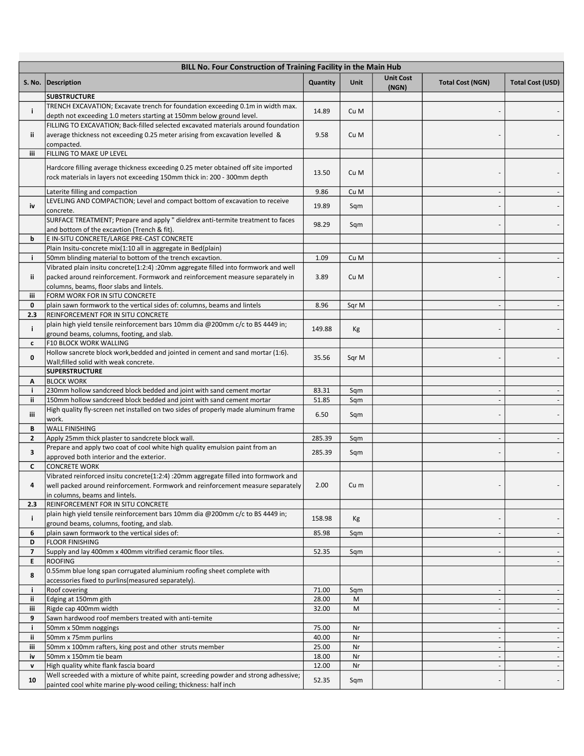|           | BILL No. Four Construction of Training Facility in the Main Hub                                                                                                |                |          |                           |                          |                          |  |  |
|-----------|----------------------------------------------------------------------------------------------------------------------------------------------------------------|----------------|----------|---------------------------|--------------------------|--------------------------|--|--|
|           | S. No.   Description                                                                                                                                           | Quantity       | Unit     | <b>Unit Cost</b><br>(NGN) | <b>Total Cost (NGN)</b>  | <b>Total Cost (USD)</b>  |  |  |
|           | <b>SUBSTRUCTURE</b>                                                                                                                                            |                |          |                           |                          |                          |  |  |
| j.        | TRENCH EXCAVATION; Excavate trench for foundation exceeding 0.1m in width max.                                                                                 | 14.89          | Cu M     |                           |                          |                          |  |  |
|           | depth not exceeding 1.0 meters starting at 150mm below ground level.                                                                                           |                |          |                           |                          |                          |  |  |
|           | FILLING TO EXCAVATION; Back-filled selected excavated materials around foundation                                                                              |                |          |                           |                          |                          |  |  |
| ij.       | average thickness not exceeding 0.25 meter arising from excavation levelled &                                                                                  | 9.58           | Cu M     |                           |                          |                          |  |  |
| iii       | compacted.<br><b>FILLING TO MAKE UP LEVEL</b>                                                                                                                  |                |          |                           |                          |                          |  |  |
|           |                                                                                                                                                                |                |          |                           |                          |                          |  |  |
|           | Hardcore filling average thickness exceeding 0.25 meter obtained off site imported<br>rock materials in layers not exceeding 150mm thick in: 200 - 300mm depth | 13.50          | Cu M     |                           |                          |                          |  |  |
|           | Laterite filling and compaction                                                                                                                                | 9.86           | Cu M     |                           |                          |                          |  |  |
| iv        | LEVELING AND COMPACTION; Level and compact bottom of excavation to receive                                                                                     | 19.89          | Sqm      |                           |                          |                          |  |  |
|           | concrete.                                                                                                                                                      |                |          |                           |                          |                          |  |  |
|           | SURFACE TREATMENT; Prepare and apply " dieldrex anti-termite treatment to faces                                                                                | 98.29          | Sqm      |                           |                          |                          |  |  |
|           | and bottom of the excavtion (Trench & fit).                                                                                                                    |                |          |                           |                          |                          |  |  |
| b         | E IN-SITU CONCRETE/LARGE PRE-CAST CONCRETE                                                                                                                     |                |          |                           |                          |                          |  |  |
| i.        | Plain Insitu-concrete mix(1:10 all in aggregate in Bed(plain)<br>50mm blinding material to bottom of the trench excavtion.                                     | 1.09           | Cu M     |                           |                          |                          |  |  |
|           | Vibrated plain insitu concrete(1:2:4) :20mm aggregate filled into formwork and well                                                                            |                |          |                           |                          |                          |  |  |
| ii.       | packed around reinforcement. Formwork and reinforcement measure separately in                                                                                  | 3.89           | Cu M     |                           |                          |                          |  |  |
|           | columns, beams, floor slabs and lintels.                                                                                                                       |                |          |                           |                          |                          |  |  |
| iii       | FORM WORK FOR IN SITU CONCRETE                                                                                                                                 |                |          |                           |                          |                          |  |  |
| 0         | plain sawn formwork to the vertical sides of: columns, beams and lintels                                                                                       | 8.96           | Sqr M    |                           |                          |                          |  |  |
| 2.3       | REINFORCEMENT FOR IN SITU CONCRETE                                                                                                                             |                |          |                           |                          |                          |  |  |
| i.        | plain high yield tensile reinforcement bars 10mm dia @200mm c/c to BS 4449 in;                                                                                 | 149.88         |          |                           |                          |                          |  |  |
|           | ground beams, columns, footing, and slab.                                                                                                                      |                | Кg       |                           |                          |                          |  |  |
| c         | F10 BLOCK WORK WALLING                                                                                                                                         |                |          |                           |                          |                          |  |  |
| 0         | Hollow sancrete block work, bedded and jointed in cement and sand mortar (1:6).                                                                                | 35.56          | Sqr M    |                           |                          |                          |  |  |
|           | Wall; filled solid with weak concrete.                                                                                                                         |                |          |                           |                          |                          |  |  |
|           | <b>SUPERSTRUCTURE</b>                                                                                                                                          |                |          |                           |                          |                          |  |  |
| Α         | <b>BLOCK WORK</b>                                                                                                                                              |                |          |                           |                          |                          |  |  |
| j.        | 230mm hollow sandcreed block bedded and joint with sand cement mortar<br>150mm hollow sandcreed block bedded and joint with sand cement mortar                 | 83.31<br>51.85 | Sqm      |                           |                          | $\overline{\phantom{a}}$ |  |  |
| ij.       | High quality fly-screen net installed on two sides of properly made aluminum frame                                                                             |                | Sqm      |                           |                          |                          |  |  |
| iii       | work.                                                                                                                                                          | 6.50           | Sqm      |                           |                          |                          |  |  |
| В         | <b>WALL FINISHING</b>                                                                                                                                          |                |          |                           |                          |                          |  |  |
| 2         | Apply 25mm thick plaster to sandcrete block wall.                                                                                                              | 285.39         | Sqm      |                           |                          |                          |  |  |
| 3         | Prepare and apply two coat of cool white high quality emulsion paint from an                                                                                   | 285.39         |          |                           |                          |                          |  |  |
|           | approved both interior and the exterior.                                                                                                                       |                | Sqm      |                           |                          |                          |  |  |
| C         | <b>CONCRETE WORK</b>                                                                                                                                           |                |          |                           |                          |                          |  |  |
|           | Vibrated reinforced insitu concrete(1:2:4) :20mm aggregate filled into formwork and                                                                            |                |          |                           |                          |                          |  |  |
| 4         | well packed around reinforcement. Formwork and reinforcement measure separately                                                                                | 2.00           | Cu m     |                           |                          |                          |  |  |
|           | in columns, beams and lintels.                                                                                                                                 |                |          |                           |                          |                          |  |  |
| 2.3       | REINFORCEMENT FOR IN SITU CONCRETE<br>plain high yield tensile reinforcement bars 10mm dia @200mm c/c to BS 4449 in;                                           |                |          |                           |                          |                          |  |  |
| i.        | ground beams, columns, footing, and slab.                                                                                                                      | 158.98         | Кg       |                           |                          |                          |  |  |
| 6         | plain sawn formwork to the vertical sides of:                                                                                                                  | 85.98          | Sqm      |                           |                          |                          |  |  |
| D         | <b>FLOOR FINISHING</b>                                                                                                                                         |                |          |                           |                          |                          |  |  |
| 7         | Supply and lay 400mm x 400mm vitrified ceramic floor tiles.                                                                                                    | 52.35          | Sqm      |                           |                          |                          |  |  |
| E         | <b>ROOFING</b>                                                                                                                                                 |                |          |                           |                          |                          |  |  |
| 8         | 0.55mm blue long span corrugated aluminium roofing sheet complete with                                                                                         |                |          |                           |                          |                          |  |  |
|           | accessories fixed to purlins (measured separately).                                                                                                            |                |          |                           |                          |                          |  |  |
| i.        | <b>Roof covering</b>                                                                                                                                           | 71.00          | Sqm      |                           |                          |                          |  |  |
| ij.       | Edging at 150mm gith                                                                                                                                           | 28.00          | M        |                           |                          |                          |  |  |
| iii       | Rigde cap 400mm width                                                                                                                                          | 32.00          | M        |                           |                          |                          |  |  |
| 9         | Sawn hardwood roof members treated with anti-temite<br>50mm x 50mm noggings                                                                                    | 75.00          |          |                           |                          |                          |  |  |
| i.<br>ii. | 50mm x 75mm purlins                                                                                                                                            | 40.00          | Nr<br>Nr |                           |                          | $\overline{\phantom{a}}$ |  |  |
| iii       | 50mm x 100mm rafters, king post and other struts member                                                                                                        | 25.00          | Nr       |                           | $\overline{\phantom{a}}$ | $\overline{\phantom{a}}$ |  |  |
| iv        | 50mm x 150mm tie beam                                                                                                                                          | 18.00          | Nr       |                           |                          | $\sim$                   |  |  |
| v         | High quality white flank fascia board                                                                                                                          | 12.00          | Nr       |                           |                          |                          |  |  |
|           | Well screeded with a mixture of white paint, screeding powder and strong adhessive;                                                                            |                |          |                           |                          |                          |  |  |
| 10        | painted cool white marine ply-wood ceiling; thickness: half inch                                                                                               | 52.35          | Sqm      |                           |                          |                          |  |  |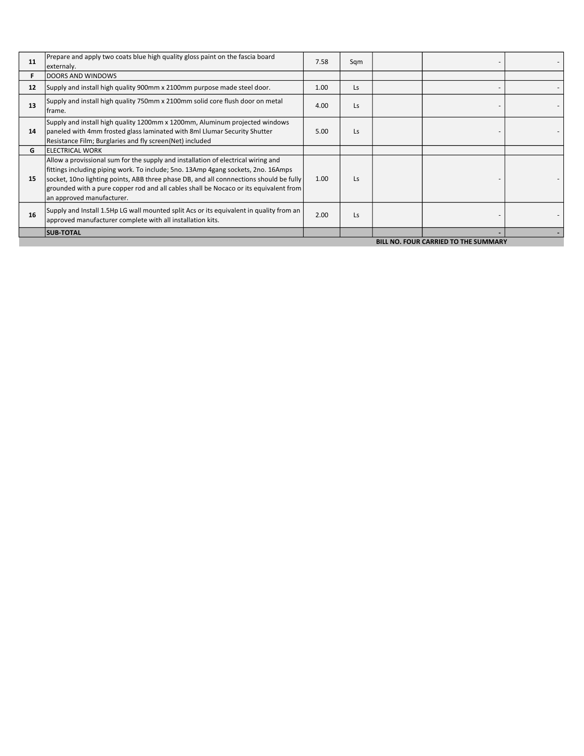| 11                | Prepare and apply two coats blue high quality gloss paint on the fascia board<br> externaly.                                                                                                                                                                                                                                                                                           | 7.58 | Sgm       |  |  |  |  |
|-------------------|----------------------------------------------------------------------------------------------------------------------------------------------------------------------------------------------------------------------------------------------------------------------------------------------------------------------------------------------------------------------------------------|------|-----------|--|--|--|--|
|                   | DOORS AND WINDOWS                                                                                                                                                                                                                                                                                                                                                                      |      |           |  |  |  |  |
| $12 \overline{ }$ | Supply and install high quality 900mm x 2100mm purpose made steel door.                                                                                                                                                                                                                                                                                                                | 1.00 | <b>Ls</b> |  |  |  |  |
| 13                | Supply and install high quality 750mm x 2100mm solid core flush door on metal<br>frame.                                                                                                                                                                                                                                                                                                | 4.00 | Ls        |  |  |  |  |
| 14                | Supply and install high quality 1200mm x 1200mm, Aluminum projected windows<br>paneled with 4mm frosted glass laminated with 8ml Llumar Security Shutter<br>Resistance Film; Burglaries and fly screen(Net) included                                                                                                                                                                   | 5.00 | Ls        |  |  |  |  |
| G                 | <b>IELECTRICAL WORK</b>                                                                                                                                                                                                                                                                                                                                                                |      |           |  |  |  |  |
| 15                | Allow a provissional sum for the supply and installation of electrical wiring and<br>fittings including piping work. To include; 5no. 13Amp 4gang sockets, 2no. 16Amps<br>socket, 10no lighting points, ABB three phase DB, and all connnections should be fully<br>grounded with a pure copper rod and all cables shall be Nocaco or its equivalent from<br>an approved manufacturer. | 1.00 | Ls        |  |  |  |  |
| 16                | Supply and Install 1.5Hp LG wall mounted split Acs or its equivalent in quality from an<br>approved manufacturer complete with all installation kits.                                                                                                                                                                                                                                  | 2.00 | Ls        |  |  |  |  |
|                   | <b>SUB-TOTAL</b>                                                                                                                                                                                                                                                                                                                                                                       |      |           |  |  |  |  |
|                   | <b>BILL NO. FOUR CARRIED TO THE SUMMARY</b>                                                                                                                                                                                                                                                                                                                                            |      |           |  |  |  |  |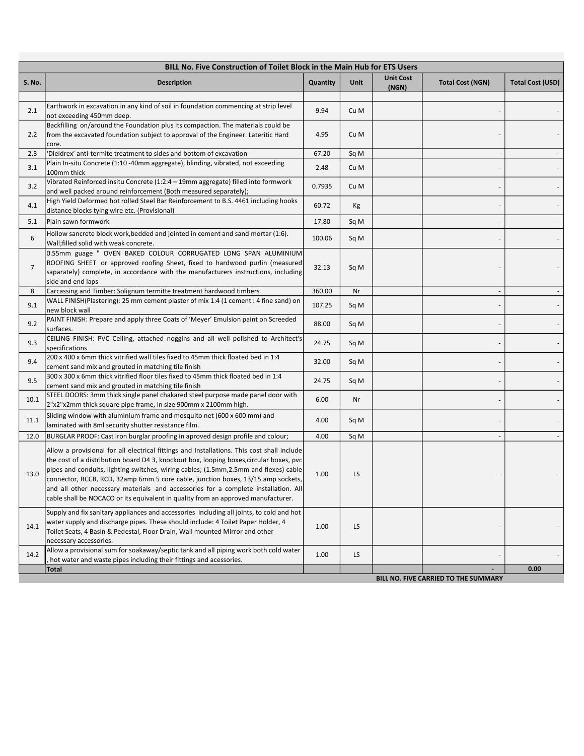|                | BILL No. Five Construction of Toilet Block in the Main Hub for ETS Users                                                                                                                                                                                                                                                                                                                                                                                                                                                                     |          |      |                           |                                      |                          |  |
|----------------|----------------------------------------------------------------------------------------------------------------------------------------------------------------------------------------------------------------------------------------------------------------------------------------------------------------------------------------------------------------------------------------------------------------------------------------------------------------------------------------------------------------------------------------------|----------|------|---------------------------|--------------------------------------|--------------------------|--|
| <b>S. No.</b>  | <b>Description</b>                                                                                                                                                                                                                                                                                                                                                                                                                                                                                                                           | Quantity | Unit | <b>Unit Cost</b><br>(NGN) | <b>Total Cost (NGN)</b>              | <b>Total Cost (USD)</b>  |  |
| 2.1            | Earthwork in excavation in any kind of soil in foundation commencing at strip level<br>not exceeding 450mm deep.                                                                                                                                                                                                                                                                                                                                                                                                                             | 9.94     | Cu M |                           |                                      |                          |  |
| 2.2            | Backfilling on/around the Foundation plus its compaction. The materials could be<br>from the excavated foundation subject to approval of the Engineer. Lateritic Hard<br>core.                                                                                                                                                                                                                                                                                                                                                               | 4.95     | Cu M |                           |                                      |                          |  |
| 2.3            | 'Dieldrex' anti-termite treatment to sides and bottom of excavation                                                                                                                                                                                                                                                                                                                                                                                                                                                                          | 67.20    | Sq M |                           |                                      |                          |  |
| 3.1            | Plain In-situ Concrete (1:10 -40mm aggregate), blinding, vibrated, not exceeding<br>100mm thick                                                                                                                                                                                                                                                                                                                                                                                                                                              | 2.48     | Cu M |                           |                                      |                          |  |
| 3.2            | Vibrated Reinforced insitu Concrete (1:2:4 - 19mm aggregate) filled into formwork<br>and well packed around reinforcement (Both measured separately);                                                                                                                                                                                                                                                                                                                                                                                        | 0.7935   | Cu M |                           |                                      |                          |  |
| 4.1            | High Yield Deformed hot rolled Steel Bar Reinforcement to B.S. 4461 including hooks<br>distance blocks tying wire etc. (Provisional)                                                                                                                                                                                                                                                                                                                                                                                                         | 60.72    | Кg   |                           |                                      |                          |  |
| 5.1            | Plain sawn formwork                                                                                                                                                                                                                                                                                                                                                                                                                                                                                                                          | 17.80    | Sq M |                           |                                      |                          |  |
| 6              | Hollow sancrete block work, bedded and jointed in cement and sand mortar (1:6).<br>Wall; filled solid with weak concrete.                                                                                                                                                                                                                                                                                                                                                                                                                    | 100.06   | Sq M |                           |                                      |                          |  |
| $\overline{7}$ | 0.55mm guage " OVEN BAKED COLOUR CORRUGATED LONG SPAN ALUMINIUM<br>ROOFING SHEET or approved roofing Sheet, fixed to hardwood purlin (measured<br>saparately) complete, in accordance with the manufacturers instructions, including<br>side and end laps                                                                                                                                                                                                                                                                                    | 32.13    | Sq M |                           |                                      |                          |  |
| 8              | Carcassing and Timber: Solignum termitte treatment hardwood timbers                                                                                                                                                                                                                                                                                                                                                                                                                                                                          | 360.00   | Nr   |                           |                                      |                          |  |
| 9.1            | WALL FINISH(Plastering): 25 mm cement plaster of mix 1:4 (1 cement : 4 fine sand) on<br>new block wall                                                                                                                                                                                                                                                                                                                                                                                                                                       | 107.25   | Sq M |                           |                                      |                          |  |
| 9.2            | PAINT FINISH: Prepare and apply three Coats of 'Meyer' Emulsion paint on Screeded<br>surfaces.                                                                                                                                                                                                                                                                                                                                                                                                                                               | 88.00    | Sq M |                           |                                      |                          |  |
| 9.3            | CEILING FINISH: PVC Ceiling, attached noggins and all well polished to Architect's<br>specifications                                                                                                                                                                                                                                                                                                                                                                                                                                         | 24.75    | Sq M |                           |                                      |                          |  |
| 9.4            | 200 x 400 x 6mm thick vitrified wall tiles fixed to 45mm thick floated bed in 1:4<br>cement sand mix and grouted in matching tile finish                                                                                                                                                                                                                                                                                                                                                                                                     | 32.00    | Sq M |                           |                                      |                          |  |
| 9.5            | 300 x 300 x 6mm thick vitrified floor tiles fixed to 45mm thick floated bed in 1:4<br>cement sand mix and grouted in matching tile finish                                                                                                                                                                                                                                                                                                                                                                                                    | 24.75    | Sq M |                           |                                      |                          |  |
| 10.1           | STEEL DOORS: 3mm thick single panel chakared steel purpose made panel door with<br>2"x2"x2mm thick square pipe frame, in size 900mm x 2100mm high.                                                                                                                                                                                                                                                                                                                                                                                           | 6.00     | Nr   |                           |                                      |                          |  |
| 11.1           | Sliding window with aluminium frame and mosquito net (600 x 600 mm) and<br>laminated with 8ml security shutter resistance film.                                                                                                                                                                                                                                                                                                                                                                                                              | 4.00     | Sq M |                           |                                      |                          |  |
| 12.0           | BURGLAR PROOF: Cast iron burglar proofing in aproved design profile and colour;                                                                                                                                                                                                                                                                                                                                                                                                                                                              | 4.00     | Sq M |                           |                                      |                          |  |
| 13.0           | Allow a provisional for all electrical fittings and Installations. This cost shall include<br>the cost of a distribution board D4 3, knockout box, looping boxes, circular boxes, pvc<br>pipes and conduits, lighting switches, wiring cables; (1.5mm,2.5mm and flexes) cable<br>connector, RCCB, RCD, 32amp 6mm 5 core cable, junction boxes, 13/15 amp sockets,<br>and all other necessary materials and accessories for a complete installation. All<br>cable shall be NOCACO or its equivalent in quality from an approved manufacturer. | 1.00     | LS   |                           |                                      |                          |  |
| 14.1           | Supply and fix sanitary appliances and accessories including all joints, to cold and hot<br>water supply and discharge pipes. These should include: 4 Toilet Paper Holder, 4<br>Toilet Seats, 4 Basin & Pedestal, Floor Drain, Wall mounted Mirror and other<br>necessary accessories.                                                                                                                                                                                                                                                       | 1.00     | LS   |                           |                                      |                          |  |
| 14.2           | Allow a provisional sum for soakaway/septic tank and all piping work both cold water<br>hot water and waste pipes including their fittings and acessories.                                                                                                                                                                                                                                                                                                                                                                                   | 1.00     | LS   |                           |                                      | $\overline{\phantom{a}}$ |  |
|                | <b>Total</b>                                                                                                                                                                                                                                                                                                                                                                                                                                                                                                                                 |          |      |                           |                                      | 0.00                     |  |
|                |                                                                                                                                                                                                                                                                                                                                                                                                                                                                                                                                              |          |      |                           | BILL NO. FIVE CARRIED TO THE SUMMARY |                          |  |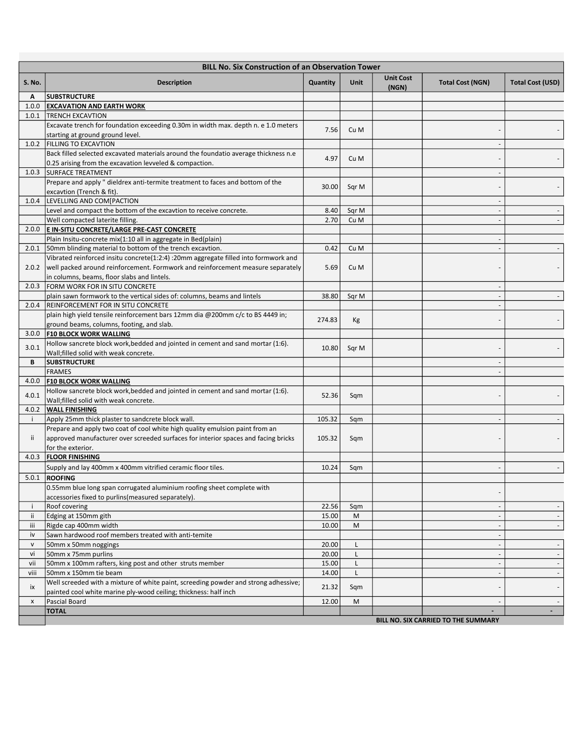|              | <b>BILL No. Six Construction of an Observation Tower</b>                                                                                                                     |                |              |                           |                                     |                                    |
|--------------|------------------------------------------------------------------------------------------------------------------------------------------------------------------------------|----------------|--------------|---------------------------|-------------------------------------|------------------------------------|
| S. No.       | <b>Description</b>                                                                                                                                                           | Quantity       | Unit         | <b>Unit Cost</b><br>(NGN) | <b>Total Cost (NGN)</b>             | Total Cost (USD)                   |
| A            | <b>SUBSTRUCTURE</b>                                                                                                                                                          |                |              |                           |                                     |                                    |
|              | 1.0.0 EXCAVATION AND EARTH WORK                                                                                                                                              |                |              |                           |                                     |                                    |
| 1.0.1        | <b>TRENCH EXCAVTION</b><br>Excavate trench for foundation exceeding 0.30m in width max. depth n. e 1.0 meters                                                                |                |              |                           |                                     |                                    |
|              | starting at ground ground level.                                                                                                                                             | 7.56           | Cu M         |                           |                                     |                                    |
|              | 1.0.2   FILLING TO EXCAVTION                                                                                                                                                 |                |              |                           |                                     |                                    |
|              | Back filled selected excavated materials around the foundatio average thickness n.e                                                                                          |                |              |                           |                                     |                                    |
|              | 0.25 arising from the excavation levveled & compaction.                                                                                                                      | 4.97           | Cu M         |                           |                                     |                                    |
|              | 1.0.3 SURFACE TREATMENT                                                                                                                                                      |                |              |                           |                                     |                                    |
|              | Prepare and apply " dieldrex anti-termite treatment to faces and bottom of the                                                                                               |                |              |                           |                                     |                                    |
|              | excavtion (Trench & fit).                                                                                                                                                    | 30.00          | Sqr M        |                           |                                     |                                    |
|              | 1.0.4  LEVELLING AND COM [PACTION                                                                                                                                            |                |              |                           |                                     |                                    |
|              | Level and compact the bottom of the excavtion to receive concrete.                                                                                                           | 8.40           | Sqr M        |                           |                                     |                                    |
|              | Well compacted laterite filling.                                                                                                                                             | 2.70           | Cu M         |                           |                                     |                                    |
|              | 2.0.0 E IN-SITU CONCRETE/LARGE PRE-CAST CONCRETE                                                                                                                             |                |              |                           |                                     |                                    |
|              | Plain Insitu-concrete mix(1:10 all in aggregate in Bed(plain)                                                                                                                |                |              |                           |                                     |                                    |
| 2.0.1        | 50mm blinding material to bottom of the trench excavtion.                                                                                                                    | 0.42           | Cu M         |                           |                                     |                                    |
|              | Vibrated reinforced insitu concrete(1:2:4) :20mm aggregate filled into formwork and<br>2.0.2 well packed around reinforcement. Formwork and reinforcement measure separately | 5.69           | Cu M         |                           |                                     |                                    |
|              | in columns, beams, floor slabs and lintels.                                                                                                                                  |                |              |                           |                                     |                                    |
|              | 2.0.3   FORM WORK FOR IN SITU CONCRETE                                                                                                                                       |                |              |                           |                                     |                                    |
|              | plain sawn formwork to the vertical sides of: columns, beams and lintels                                                                                                     | 38.80          | Sqr M        |                           |                                     |                                    |
| 2.0.4        | <b>REINFORCEMENT FOR IN SITU CONCRETE</b>                                                                                                                                    |                |              |                           |                                     |                                    |
|              | plain high yield tensile reinforcement bars 12mm dia @200mm c/c to BS 4449 in;                                                                                               |                |              |                           |                                     |                                    |
|              | ground beams, columns, footing, and slab.                                                                                                                                    | 274.83         | Кg           |                           |                                     |                                    |
|              | 3.0.0 F10 BLOCK WORK WALLING                                                                                                                                                 |                |              |                           |                                     |                                    |
| 3.0.1        | Hollow sancrete block work, bedded and jointed in cement and sand mortar (1:6).                                                                                              | 10.80          | Sqr M        |                           |                                     |                                    |
|              | Wall; filled solid with weak concrete.                                                                                                                                       |                |              |                           |                                     |                                    |
| В            | <b>SUBSTRUCTURE</b>                                                                                                                                                          |                |              |                           |                                     |                                    |
|              | <b>FRAMES</b>                                                                                                                                                                |                |              |                           |                                     |                                    |
| 4.0.0        | <b>F10 BLOCK WORK WALLING</b>                                                                                                                                                |                |              |                           |                                     |                                    |
| 4.0.1        | Hollow sancrete block work, bedded and jointed in cement and sand mortar (1:6).<br>Wall; filled solid with weak concrete.                                                    | 52.36          | Sqm          |                           |                                     |                                    |
| 4.0.2        | <b>WALL FINISHING</b>                                                                                                                                                        |                |              |                           |                                     |                                    |
| ÷            | Apply 25mm thick plaster to sandcrete block wall.                                                                                                                            | 105.32         | Sqm          |                           |                                     |                                    |
|              | Prepare and apply two coat of cool white high quality emulsion paint from an                                                                                                 |                |              |                           |                                     |                                    |
| ii.          | approved manufacturer over screeded surfaces for interior spaces and facing bricks                                                                                           | 105.32         | Sqm          |                           |                                     |                                    |
|              | for the exterior.                                                                                                                                                            |                |              |                           |                                     |                                    |
|              | 4.0.3   FLOOR FINISHING                                                                                                                                                      |                |              |                           |                                     |                                    |
|              | Supply and lay 400mm x 400mm vitrified ceramic floor tiles.                                                                                                                  | 10.24          | Sqm          |                           |                                     |                                    |
| 5.0.1        | <b>ROOFING</b>                                                                                                                                                               |                |              |                           |                                     |                                    |
|              | 0.55mm blue long span corrugated aluminium roofing sheet complete with                                                                                                       |                |              |                           |                                     |                                    |
|              | accessories fixed to purlins (measured separately).                                                                                                                          |                |              |                           |                                     |                                    |
| -i           | Roof covering                                                                                                                                                                | 22.56          | Sqm          |                           |                                     | $\overline{\phantom{a}}$           |
| Ϊİ           | Edging at 150mm gith                                                                                                                                                         | 15.00          | M            |                           |                                     |                                    |
| iii          | Rigde cap 400mm width                                                                                                                                                        | 10.00          | M            |                           |                                     | $\sim$                             |
| iv           | Sawn hardwood roof members treated with anti-temite                                                                                                                          |                |              |                           | $\overline{\phantom{a}}$            |                                    |
| $\mathsf{V}$ | 50mm x 50mm noggings                                                                                                                                                         | 20.00          | L            |                           |                                     | $\overline{\phantom{a}}$           |
| vi<br>vii    | 50mm x 75mm purlins<br>50mm x 100mm rafters, king post and other struts member                                                                                               | 20.00<br>15.00 | L<br>L       |                           |                                     | $\overline{\phantom{a}}$<br>$\sim$ |
| viii         | 50mm x 150mm tie beam                                                                                                                                                        | 14.00          | $\mathsf{L}$ |                           |                                     |                                    |
|              | Well screeded with a mixture of white paint, screeding powder and strong adhessive;                                                                                          |                |              |                           |                                     |                                    |
| iх           | painted cool white marine ply-wood ceiling; thickness: half inch                                                                                                             | 21.32          | Sqm          |                           |                                     |                                    |
| X            | Pascial Board                                                                                                                                                                | 12.00          | M            |                           |                                     |                                    |
|              | <b>TOTAL</b>                                                                                                                                                                 |                |              |                           |                                     | $\blacksquare$                     |
|              |                                                                                                                                                                              |                |              |                           | BILL NO. SIX CARRIED TO THE SUMMARY |                                    |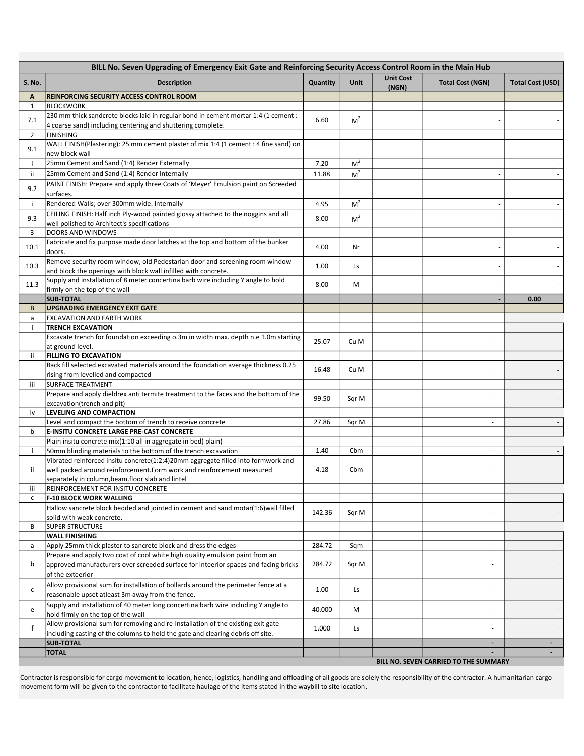|                | BILL No. Seven Upgrading of Emergency Exit Gate and Reinforcing Security Access Control Room in the Main Hub        |          |                |                           |                                       |                         |
|----------------|---------------------------------------------------------------------------------------------------------------------|----------|----------------|---------------------------|---------------------------------------|-------------------------|
| <b>S. No.</b>  | <b>Description</b>                                                                                                  | Quantity | Unit           | <b>Unit Cost</b><br>(NGN) | <b>Total Cost (NGN)</b>               | <b>Total Cost (USD)</b> |
| Α              | <b>REINFORCING SECURITY ACCESS CONTROL ROOM</b>                                                                     |          |                |                           |                                       |                         |
| $\mathbf{1}$   | <b>BLOCKWORK</b>                                                                                                    |          |                |                           |                                       |                         |
| 7.1            | 230 mm thick sandcrete blocks laid in regular bond in cement mortar 1:4 (1 cement :                                 | 6.60     | M <sup>2</sup> |                           |                                       |                         |
|                | 4 coarse sand) including centering and shuttering complete.                                                         |          |                |                           |                                       |                         |
| $\overline{2}$ | <b>FINISHING</b>                                                                                                    |          |                |                           |                                       |                         |
| 9.1            | WALL FINISH(Plastering): 25 mm cement plaster of mix 1:4 (1 cement : 4 fine sand) on                                |          |                |                           |                                       |                         |
|                | new block wall                                                                                                      |          |                |                           |                                       |                         |
| j.             | 25mm Cement and Sand (1:4) Render Externally                                                                        | 7.20     | M <sup>2</sup> |                           |                                       |                         |
| ii.            | 25mm Cement and Sand (1:4) Render Internally                                                                        | 11.88    | M <sup>2</sup> |                           |                                       |                         |
| 9.2            | PAINT FINISH: Prepare and apply three Coats of 'Meyer' Emulsion paint on Screeded                                   |          |                |                           |                                       |                         |
|                | surfaces.                                                                                                           |          |                |                           |                                       |                         |
| j.             | Rendered Walls; over 300mm wide. Internally                                                                         | 4.95     | M <sup>2</sup> |                           |                                       |                         |
| 9.3            | CEILING FINISH: Half inch Ply-wood painted glossy attached to the noggins and all                                   | 8.00     | M <sup>2</sup> |                           |                                       |                         |
|                | well polished to Architect's specifications                                                                         |          |                |                           |                                       |                         |
| 3              | DOORS AND WINDOWS                                                                                                   |          |                |                           |                                       |                         |
| 10.1           | Fabricate and fix purpose made door latches at the top and bottom of the bunker                                     | 4.00     | Nr             |                           |                                       |                         |
|                | doors.                                                                                                              |          |                |                           |                                       |                         |
| 10.3           | Remove security room window, old Pedestarian door and screening room window                                         | 1.00     | Ls             |                           |                                       |                         |
|                | and block the openings with block wall infilled with concrete.                                                      |          |                |                           |                                       |                         |
| 11.3           | Supply and installation of 8 meter concertina barb wire including Y angle to hold                                   | 8.00     | M              |                           |                                       |                         |
|                | firmly on the top of the wall                                                                                       |          |                |                           |                                       |                         |
|                | <b>SUB-TOTAL</b>                                                                                                    |          |                |                           |                                       | 0.00                    |
| B              | <b>UPGRADING EMERGENCY EXIT GATE</b>                                                                                |          |                |                           |                                       |                         |
| a              | <b>EXCAVATION AND EARTH WORK</b>                                                                                    |          |                |                           |                                       |                         |
| ÷              | <b>TRENCH EXCAVATION</b>                                                                                            |          |                |                           |                                       |                         |
|                | Excavate trench for foundation exceeding o.3m in width max. depth n.e 1.0m starting                                 | 25.07    | Cu M           |                           |                                       |                         |
|                | at ground level.                                                                                                    |          |                |                           |                                       |                         |
| ij.            | <b>FILLING TO EXCAVATION</b><br>Back fill selected excavated materials around the foundation average thickness 0.25 |          |                |                           |                                       |                         |
|                | rising from levelled and compacted                                                                                  | 16.48    | Cu M           |                           |                                       |                         |
| iii            | <b>SURFACE TREATMENT</b>                                                                                            |          |                |                           |                                       |                         |
|                | Prepare and apply dieldrex anti termite treatment to the faces and the bottom of the                                |          |                |                           |                                       |                         |
|                | excavation(trench and pit)                                                                                          | 99.50    | Sqr M          |                           |                                       |                         |
| iv             | LEVELING AND COMPACTION                                                                                             |          |                |                           |                                       |                         |
|                | Level and compact the bottom of trench to receive concrete                                                          | 27.86    | Sqr M          |                           |                                       |                         |
| b              | <b>E-INSITU CONCRETE LARGE PRE-CAST CONCRETE</b>                                                                    |          |                |                           |                                       |                         |
|                | Plain insitu concrete mix(1:10 all in aggregate in bed(plain)                                                       |          |                |                           |                                       |                         |
| j.             | 50mm blinding materials to the bottom of the trench excavation                                                      | 1.40     | Cbm            |                           |                                       |                         |
|                | Vibrated reinforced insitu concrete(1:2:4)20mm aggregate filled into formwork and                                   |          |                |                           |                                       |                         |
| ij.            | well packed around reinforcement.Form work and reinforcement measured                                               | 4.18     | Cbm            |                           |                                       |                         |
|                | separately in column, beam, floor slab and lintel                                                                   |          |                |                           |                                       |                         |
| iii            | REINFORCEMENT FOR INSITU CONCRETE                                                                                   |          |                |                           |                                       |                         |
| с              | <b>F-10 BLOCK WORK WALLING</b>                                                                                      |          |                |                           |                                       |                         |
|                | Hallow sancrete block bedded and jointed in cement and sand motar(1:6) wall filled                                  | 142.36   | Sqr M          |                           |                                       |                         |
|                | solid with weak concrete.                                                                                           |          |                |                           |                                       |                         |
| В              | <b>SUPER STRUCTURE</b>                                                                                              |          |                |                           |                                       |                         |
|                | <b>WALL FINISHING</b>                                                                                               |          |                |                           |                                       |                         |
| a              | Apply 25mm thick plaster to sancrete block and dress the edges                                                      | 284.72   | Sqm            |                           |                                       |                         |
|                | Prepare and apply two coat of cool white high quality emulsion paint from an                                        |          |                |                           |                                       |                         |
| b              | approved manufacturers over screeded surface for inteerior spaces and facing bricks                                 | 284.72   | Sqr M          |                           |                                       |                         |
|                | of the exteerior                                                                                                    |          |                |                           |                                       |                         |
| с              | Allow provisional sum for installation of bollards around the perimeter fence at a                                  | 1.00     | Ls             |                           |                                       |                         |
|                | reasonable upset atleast 3m away from the fence.                                                                    |          |                |                           |                                       |                         |
| e              | Supply and installation of 40 meter long concertina barb wire including Y angle to                                  | 40.000   | М              |                           |                                       |                         |
|                | hold firmly on the top of the wall                                                                                  |          |                |                           |                                       |                         |
| f              | Allow provisional sum for removing and re-installation of the existing exit gate                                    | 1.000    | Ls             |                           |                                       |                         |
|                | including casting of the columns to hold the gate and clearing debris off site.                                     |          |                |                           |                                       |                         |
|                | <b>SUB-TOTAL</b>                                                                                                    |          |                |                           |                                       |                         |
|                | <b>TOTAL</b>                                                                                                        |          |                |                           |                                       |                         |
|                |                                                                                                                     |          |                |                           | BILL NO. SEVEN CARRIED TO THE SUMMARY |                         |

Contractor is responsible for cargo movement to location, hence, logistics, handling and offloading of all goods are solely the responsibility of the contractor. A humanitarian cargo movement form will be given to the contractor to facilitate haulage of the items stated in the waybill to site location.